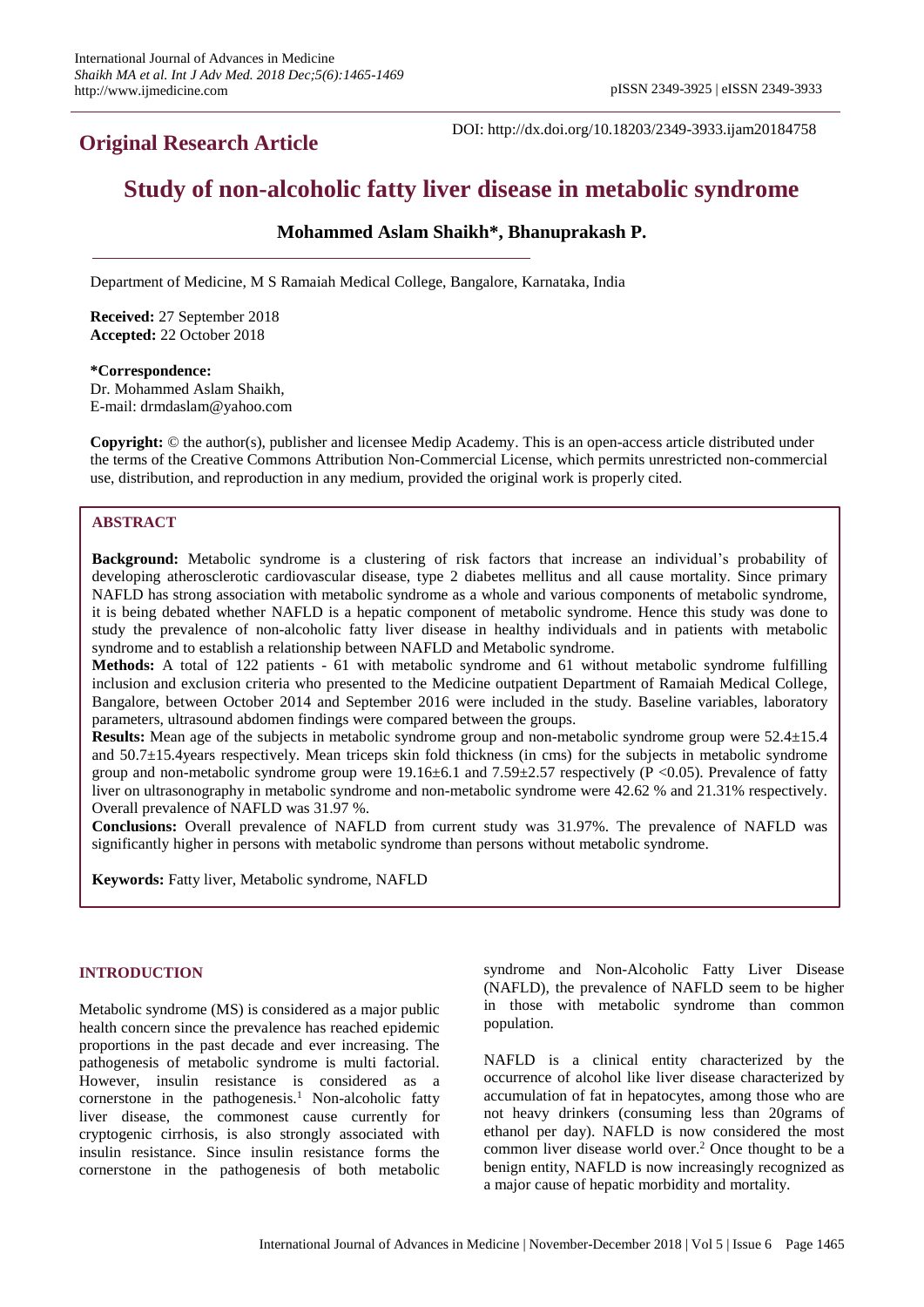# **Original Research Article**

DOI: http://dx.doi.org/10.18203/2349-3933.ijam20184758

# **Study of non-alcoholic fatty liver disease in metabolic syndrome**

# **Mohammed Aslam Shaikh\*, Bhanuprakash P.**

Department of Medicine, M S Ramaiah Medical College, Bangalore, Karnataka, India

**Received:** 27 September 2018 **Accepted:** 22 October 2018

**\*Correspondence:** Dr. Mohammed Aslam Shaikh, E-mail: drmdaslam@yahoo.com

**Copyright:** © the author(s), publisher and licensee Medip Academy. This is an open-access article distributed under the terms of the Creative Commons Attribution Non-Commercial License, which permits unrestricted non-commercial use, distribution, and reproduction in any medium, provided the original work is properly cited.

# **ABSTRACT**

**Background:** Metabolic syndrome is a clustering of risk factors that increase an individual's probability of developing atherosclerotic cardiovascular disease, type 2 diabetes mellitus and all cause mortality. Since primary NAFLD has strong association with metabolic syndrome as a whole and various components of metabolic syndrome, it is being debated whether NAFLD is a hepatic component of metabolic syndrome. Hence this study was done to study the prevalence of non-alcoholic fatty liver disease in healthy individuals and in patients with metabolic syndrome and to establish a relationship between NAFLD and Metabolic syndrome.

**Methods:** A total of 122 patients - 61 with metabolic syndrome and 61 without metabolic syndrome fulfilling inclusion and exclusion criteria who presented to the Medicine outpatient Department of Ramaiah Medical College, Bangalore, between October 2014 and September 2016 were included in the study. Baseline variables, laboratory parameters, ultrasound abdomen findings were compared between the groups.

**Results:** Mean age of the subjects in metabolic syndrome group and non-metabolic syndrome group were 52.4±15.4 and 50.7±15.4years respectively. Mean triceps skin fold thickness (in cms) for the subjects in metabolic syndrome group and non-metabolic syndrome group were  $19.16\pm6.1$  and  $7.59\pm2.57$  respectively (P <0.05). Prevalence of fatty liver on ultrasonography in metabolic syndrome and non-metabolic syndrome were 42.62 % and 21.31% respectively. Overall prevalence of NAFLD was 31.97 %.

**Conclusions:** Overall prevalence of NAFLD from current study was 31.97%. The prevalence of NAFLD was significantly higher in persons with metabolic syndrome than persons without metabolic syndrome.

**Keywords:** Fatty liver, Metabolic syndrome, NAFLD

## **INTRODUCTION**

Metabolic syndrome (MS) is considered as a major public health concern since the prevalence has reached epidemic proportions in the past decade and ever increasing. The pathogenesis of metabolic syndrome is multi factorial. However, insulin resistance is considered as a cornerstone in the pathogenesis.<sup>1</sup> Non-alcoholic fatty liver disease, the commonest cause currently for cryptogenic cirrhosis, is also strongly associated with insulin resistance. Since insulin resistance forms the cornerstone in the pathogenesis of both metabolic syndrome and Non-Alcoholic Fatty Liver Disease (NAFLD), the prevalence of NAFLD seem to be higher in those with metabolic syndrome than common population.

NAFLD is a clinical entity characterized by the occurrence of alcohol like liver disease characterized by accumulation of fat in hepatocytes, among those who are not heavy drinkers (consuming less than 20grams of ethanol per day). NAFLD is now considered the most common liver disease world over.<sup>2</sup> Once thought to be a benign entity, NAFLD is now increasingly recognized as a major cause of hepatic morbidity and mortality.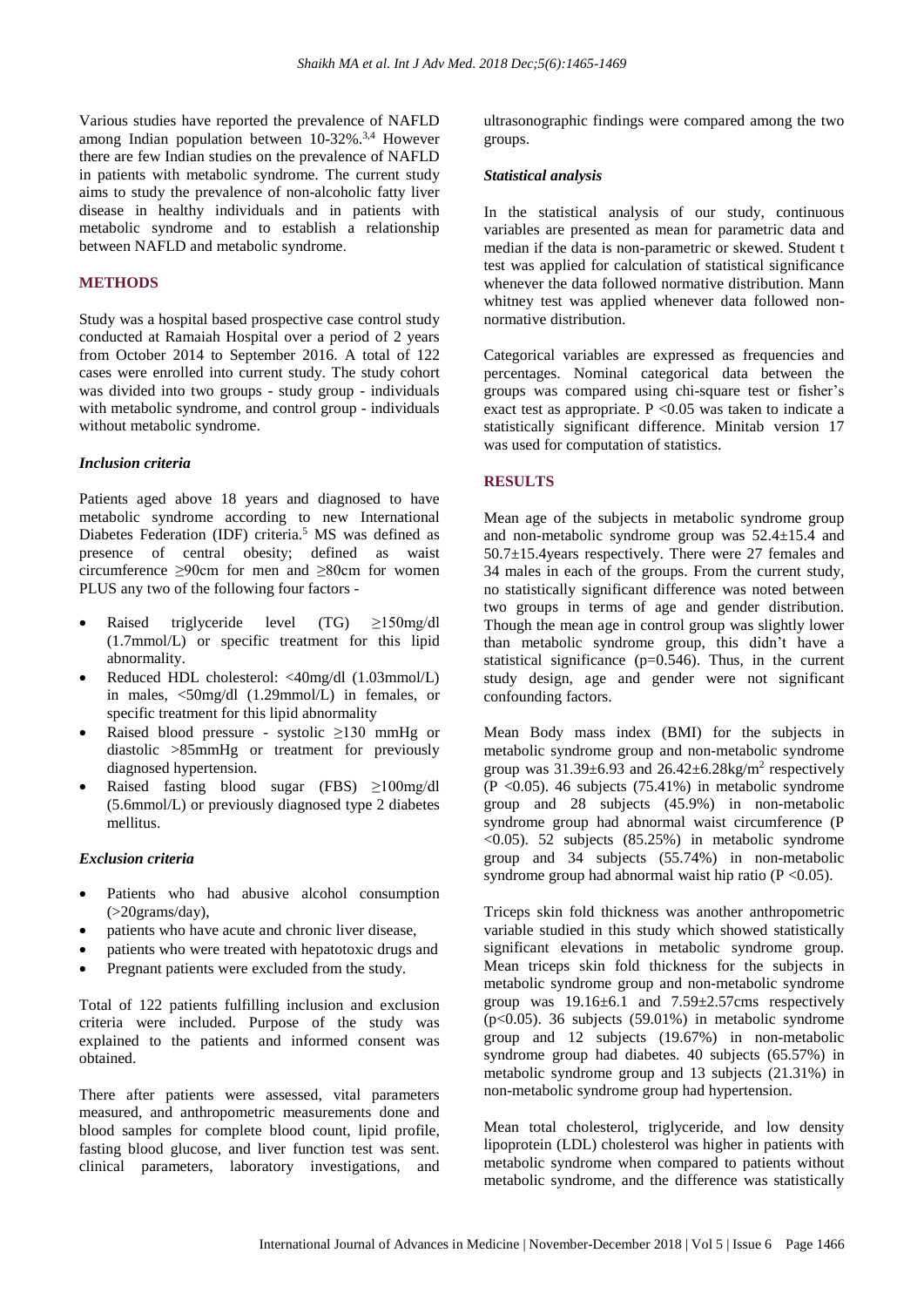Various studies have reported the prevalence of NAFLD among Indian population between  $10-32\%$ .<sup>3,4</sup> However there are few Indian studies on the prevalence of NAFLD in patients with metabolic syndrome. The current study aims to study the prevalence of non-alcoholic fatty liver disease in healthy individuals and in patients with metabolic syndrome and to establish a relationship between NAFLD and metabolic syndrome.

## **METHODS**

Study was a hospital based prospective case control study conducted at Ramaiah Hospital over a period of 2 years from October 2014 to September 2016. A total of 122 cases were enrolled into current study. The study cohort was divided into two groups - study group - individuals with metabolic syndrome, and control group - individuals without metabolic syndrome.

## *Inclusion criteria*

Patients aged above 18 years and diagnosed to have metabolic syndrome according to new International Diabetes Federation (IDF) criteria.<sup>5</sup> MS was defined as presence of central obesity; defined as waist circumference ≥90cm for men and ≥80cm for women PLUS any two of the following four factors -

- Raised triglyceride level (TG)  $\geq$ 150mg/dl (1.7mmol/L) or specific treatment for this lipid abnormality.
- Reduced HDL cholesterol: <40mg/dl (1.03mmol/L) in males, <50mg/dl (1.29mmol/L) in females, or specific treatment for this lipid abnormality
- Raised blood pressure systolic ≥130 mmHg or diastolic >85mmHg or treatment for previously diagnosed hypertension.
- Raised fasting blood sugar (FBS) ≥100mg/dl (5.6mmol/L) or previously diagnosed type 2 diabetes mellitus.

# *Exclusion criteria*

- Patients who had abusive alcohol consumption (>20grams/day),
- patients who have acute and chronic liver disease,
- patients who were treated with hepatotoxic drugs and
- Pregnant patients were excluded from the study.

Total of 122 patients fulfilling inclusion and exclusion criteria were included. Purpose of the study was explained to the patients and informed consent was obtained.

There after patients were assessed, vital parameters measured, and anthropometric measurements done and blood samples for complete blood count, lipid profile, fasting blood glucose, and liver function test was sent. clinical parameters, laboratory investigations, and ultrasonographic findings were compared among the two groups.

#### *Statistical analysis*

In the statistical analysis of our study, continuous variables are presented as mean for parametric data and median if the data is non-parametric or skewed. Student t test was applied for calculation of statistical significance whenever the data followed normative distribution. Mann whitney test was applied whenever data followed nonnormative distribution.

Categorical variables are expressed as frequencies and percentages. Nominal categorical data between the groups was compared using chi-square test or fisher's exact test as appropriate.  $P \le 0.05$  was taken to indicate a statistically significant difference. Minitab version 17 was used for computation of statistics.

## **RESULTS**

Mean age of the subjects in metabolic syndrome group and non-metabolic syndrome group was 52.4±15.4 and 50.7±15.4years respectively. There were 27 females and 34 males in each of the groups. From the current study, no statistically significant difference was noted between two groups in terms of age and gender distribution. Though the mean age in control group was slightly lower than metabolic syndrome group, this didn't have a statistical significance  $(p=0.546)$ . Thus, in the current study design, age and gender were not significant confounding factors.

Mean Body mass index (BMI) for the subjects in metabolic syndrome group and non-metabolic syndrome group was  $31.39\pm6.93$  and  $26.42\pm6.28$ kg/m<sup>2</sup> respectively  $(P \le 0.05)$ . 46 subjects (75.41%) in metabolic syndrome group and 28 subjects (45.9%) in non-metabolic syndrome group had abnormal waist circumference (P <0.05). 52 subjects (85.25%) in metabolic syndrome group and 34 subjects (55.74%) in non-metabolic syndrome group had abnormal waist hip ratio  $(P \le 0.05)$ .

Triceps skin fold thickness was another anthropometric variable studied in this study which showed statistically significant elevations in metabolic syndrome group. Mean triceps skin fold thickness for the subjects in metabolic syndrome group and non-metabolic syndrome group was  $19.16 \pm 6.1$  and  $7.59 \pm 2.57$  cms respectively ( $p<0.05$ ). 36 subjects (59.01%) in metabolic syndrome group and 12 subjects (19.67%) in non-metabolic syndrome group had diabetes. 40 subjects (65.57%) in metabolic syndrome group and 13 subjects (21.31%) in non-metabolic syndrome group had hypertension.

Mean total cholesterol, triglyceride, and low density lipoprotein (LDL) cholesterol was higher in patients with metabolic syndrome when compared to patients without metabolic syndrome, and the difference was statistically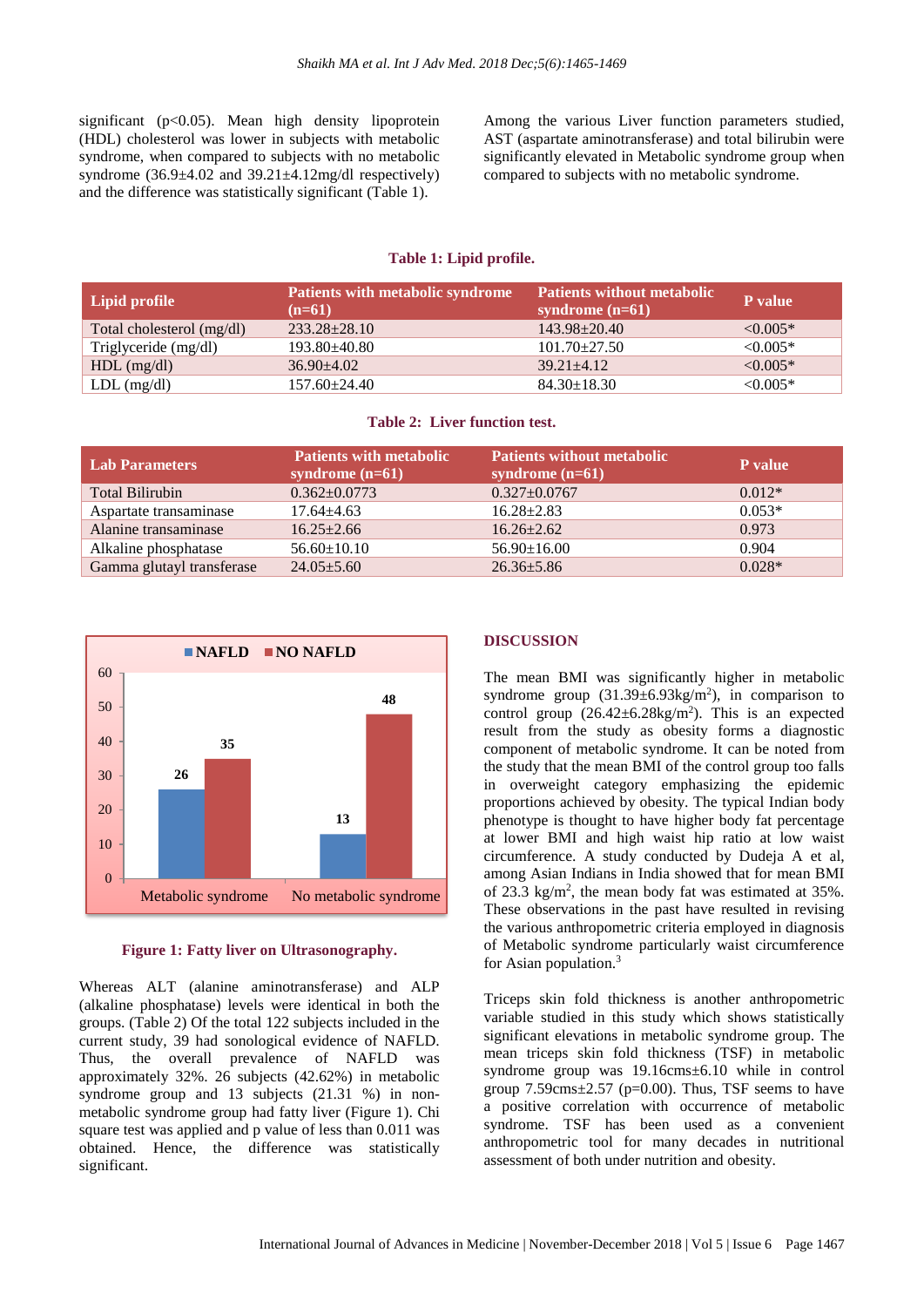significant  $(p<0.05)$ . Mean high density lipoprotein (HDL) cholesterol was lower in subjects with metabolic syndrome, when compared to subjects with no metabolic syndrome  $(36.9 \pm 4.02 \text{ and } 39.21 \pm 4.12 \text{mg/dl}$  respectively) and the difference was statistically significant (Table 1).

Among the various Liver function parameters studied, AST (aspartate aminotransferase) and total bilirubin were significantly elevated in Metabolic syndrome group when compared to subjects with no metabolic syndrome.

## **Table 1: Lipid profile.**

| Lipid profile             | <b>Patients with metabolic syndrome</b><br>$(n=61)$ | <b>Patients without metabolic</b><br>syndrome $(n=61)$ | P value       |
|---------------------------|-----------------------------------------------------|--------------------------------------------------------|---------------|
| Total cholesterol (mg/dl) | $233.28 + 28.10$                                    | $143.98 + 20.40$                                       | $\leq 0.005*$ |
| Triglyceride (mg/dl)      | $193.80 + 40.80$                                    | $101.70 \pm 27.50$                                     | $\leq 0.005*$ |
| $HDL$ (mg/dl)             | $36.90 + 4.02$                                      | $39.21 + 4.12$                                         | $\leq 0.005*$ |
| $LDL$ (mg/dl)             | $157.60 \pm 24.40$                                  | $84.30 \pm 18.30$                                      | $< 0.005*$    |

#### **Table 2: Liver function test.**

| <b>Lab Parameters</b>     | <b>Patients with metabolic</b><br>syndrome $(n=61)$ | <b>Patients without metabolic</b><br>syndrome $(n=61)$ | P value  |
|---------------------------|-----------------------------------------------------|--------------------------------------------------------|----------|
| <b>Total Bilirubin</b>    | $0.362 \pm 0.0773$                                  | $0.327 \pm 0.0767$                                     | $0.012*$ |
| Aspartate transaminase    | $17.64 + 4.63$                                      | $16.28 \pm 2.83$                                       | $0.053*$ |
| Alanine transaminase      | $16.25 + 2.66$                                      | $16.26 + 2.62$                                         | 0.973    |
| Alkaline phosphatase      | $56.60 \pm 10.10$                                   | $56.90 \pm 16.00$                                      | 0.904    |
| Gamma glutayl transferase | $24.05 \pm 5.60$                                    | $26.36 + 5.86$                                         | $0.028*$ |



## **Figure 1: Fatty liver on Ultrasonography.**

Whereas ALT (alanine aminotransferase) and ALP (alkaline phosphatase) levels were identical in both the groups. (Table 2) Of the total 122 subjects included in the current study, 39 had sonological evidence of NAFLD. Thus, the overall prevalence of NAFLD was approximately 32%. 26 subjects (42.62%) in metabolic syndrome group and 13 subjects (21.31 %) in nonmetabolic syndrome group had fatty liver (Figure 1). Chi square test was applied and p value of less than 0.011 was obtained. Hence, the difference was statistically significant.

## **DISCUSSION**

The mean BMI was significantly higher in metabolic syndrome group  $(31.39 \pm 6.93 \text{kg/m}^2)$ , in comparison to control group  $(26.42 \pm 6.28 \text{kg/m}^2)$ . This is an expected result from the study as obesity forms a diagnostic component of metabolic syndrome. It can be noted from the study that the mean BMI of the control group too falls in overweight category emphasizing the epidemic proportions achieved by obesity. The typical Indian body phenotype is thought to have higher body fat percentage at lower BMI and high waist hip ratio at low waist circumference. A study conducted by Dudeja A et al, among Asian Indians in India showed that for mean BMI of 23.3 kg/m<sup>2</sup>, the mean body fat was estimated at 35%. These observations in the past have resulted in revising the various anthropometric criteria employed in diagnosis of Metabolic syndrome particularly waist circumference for Asian population.<sup>3</sup>

Triceps skin fold thickness is another anthropometric variable studied in this study which shows statistically significant elevations in metabolic syndrome group. The mean triceps skin fold thickness (TSF) in metabolic syndrome group was 19.16cms±6.10 while in control group  $7.59 \text{cm} \text{s} \pm 2.57$  ( $p=0.00$ ). Thus, TSF seems to have a positive correlation with occurrence of metabolic syndrome. TSF has been used as a convenient anthropometric tool for many decades in nutritional assessment of both under nutrition and obesity.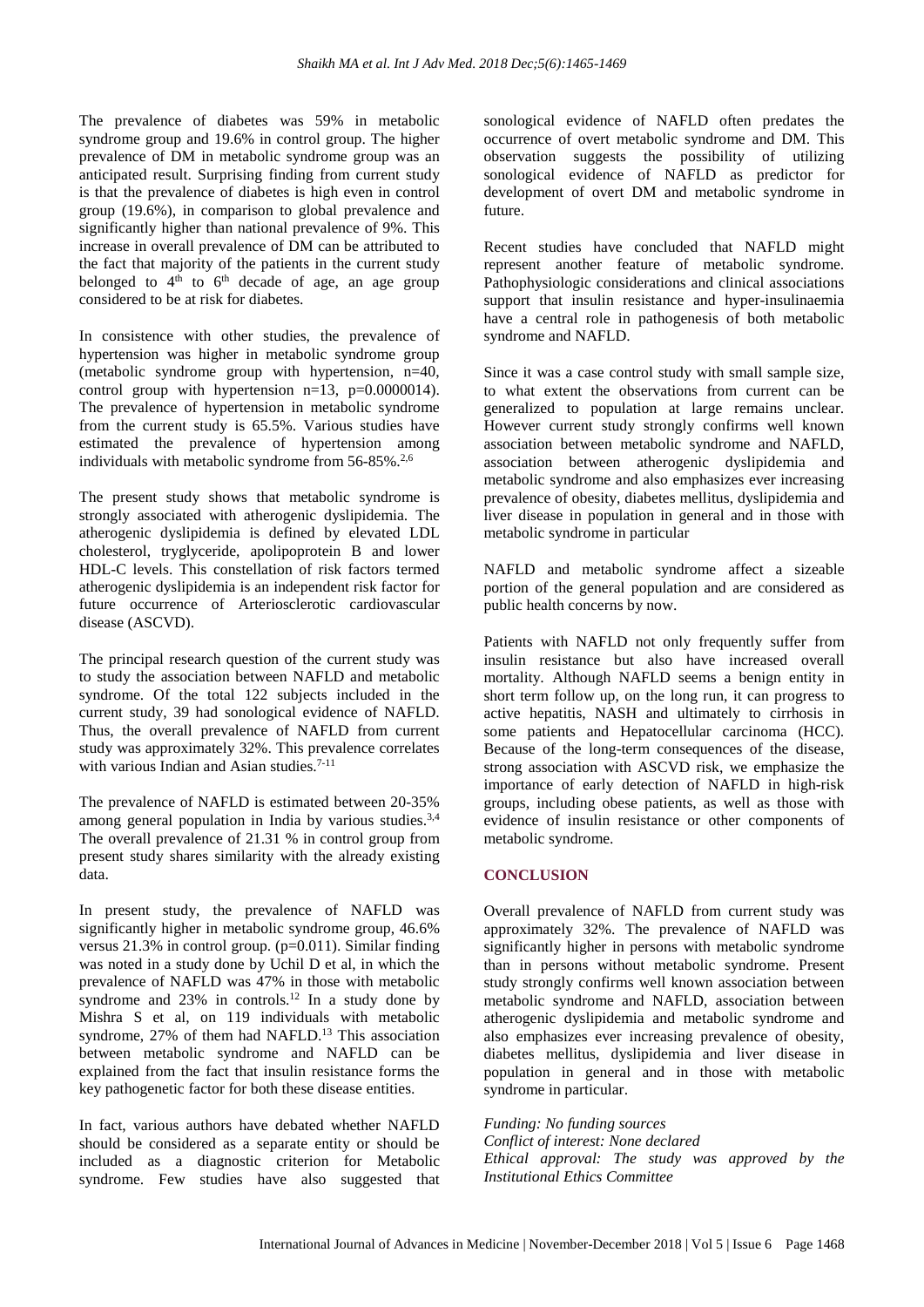The prevalence of diabetes was 59% in metabolic syndrome group and 19.6% in control group. The higher prevalence of DM in metabolic syndrome group was an anticipated result. Surprising finding from current study is that the prevalence of diabetes is high even in control group (19.6%), in comparison to global prevalence and significantly higher than national prevalence of 9%. This increase in overall prevalence of DM can be attributed to the fact that majority of the patients in the current study belonged to  $4<sup>th</sup>$  to  $6<sup>th</sup>$  decade of age, an age group considered to be at risk for diabetes.

In consistence with other studies, the prevalence of hypertension was higher in metabolic syndrome group (metabolic syndrome group with hypertension, n=40, control group with hypertension  $n=13$ ,  $p=0.0000014$ ). The prevalence of hypertension in metabolic syndrome from the current study is 65.5%. Various studies have estimated the prevalence of hypertension among individuals with metabolic syndrome from  $56-85\%$ .<sup>2,6</sup>

The present study shows that metabolic syndrome is strongly associated with atherogenic dyslipidemia. The atherogenic dyslipidemia is defined by elevated LDL cholesterol, tryglyceride, apolipoprotein B and lower HDL-C levels. This constellation of risk factors termed atherogenic dyslipidemia is an independent risk factor for future occurrence of Arteriosclerotic cardiovascular disease (ASCVD).

The principal research question of the current study was to study the association between NAFLD and metabolic syndrome. Of the total 122 subjects included in the current study, 39 had sonological evidence of NAFLD. Thus, the overall prevalence of NAFLD from current study was approximately 32%. This prevalence correlates with various Indian and Asian studies.<sup>7-11</sup>

The prevalence of NAFLD is estimated between 20-35% among general population in India by various studies.3,4 The overall prevalence of 21.31 % in control group from present study shares similarity with the already existing data.

In present study, the prevalence of NAFLD was significantly higher in metabolic syndrome group, 46.6% versus 21.3% in control group. (p=0.011). Similar finding was noted in a study done by Uchil D et al, in which the prevalence of NAFLD was 47% in those with metabolic syndrome and  $23\%$  in controls.<sup>12</sup> In a study done by Mishra S et al, on 119 individuals with metabolic syndrome, 27% of them had NAFLD.<sup>13</sup> This association between metabolic syndrome and NAFLD can be explained from the fact that insulin resistance forms the key pathogenetic factor for both these disease entities.

In fact, various authors have debated whether NAFLD should be considered as a separate entity or should be included as a diagnostic criterion for Metabolic syndrome. Few studies have also suggested that sonological evidence of NAFLD often predates the occurrence of overt metabolic syndrome and DM. This observation suggests the possibility of utilizing sonological evidence of NAFLD as predictor for development of overt DM and metabolic syndrome in future.

Recent studies have concluded that NAFLD might represent another feature of metabolic syndrome. Pathophysiologic considerations and clinical associations support that insulin resistance and hyper-insulinaemia have a central role in pathogenesis of both metabolic syndrome and NAFLD.

Since it was a case control study with small sample size, to what extent the observations from current can be generalized to population at large remains unclear. However current study strongly confirms well known association between metabolic syndrome and NAFLD, association between atherogenic dyslipidemia and metabolic syndrome and also emphasizes ever increasing prevalence of obesity, diabetes mellitus, dyslipidemia and liver disease in population in general and in those with metabolic syndrome in particular

NAFLD and metabolic syndrome affect a sizeable portion of the general population and are considered as public health concerns by now.

Patients with NAFLD not only frequently suffer from insulin resistance but also have increased overall mortality. Although NAFLD seems a benign entity in short term follow up, on the long run, it can progress to active hepatitis, NASH and ultimately to cirrhosis in some patients and Hepatocellular carcinoma (HCC). Because of the long-term consequences of the disease, strong association with ASCVD risk, we emphasize the importance of early detection of NAFLD in high-risk groups, including obese patients, as well as those with evidence of insulin resistance or other components of metabolic syndrome.

# **CONCLUSION**

Overall prevalence of NAFLD from current study was approximately 32%. The prevalence of NAFLD was significantly higher in persons with metabolic syndrome than in persons without metabolic syndrome. Present study strongly confirms well known association between metabolic syndrome and NAFLD, association between atherogenic dyslipidemia and metabolic syndrome and also emphasizes ever increasing prevalence of obesity, diabetes mellitus, dyslipidemia and liver disease in population in general and in those with metabolic syndrome in particular.

*Funding: No funding sources Conflict of interest: None declared Ethical approval: The study was approved by the Institutional Ethics Committee*